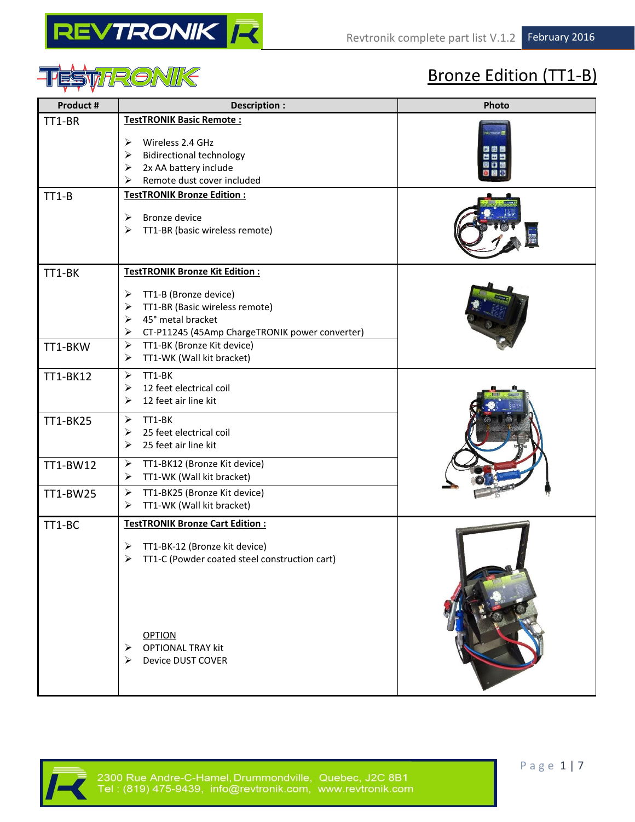



## Bronze Edition (TT1-B)

| TT1-BR<br><b>TestTRONIK Basic Remote:</b><br>Wireless 2.4 GHz<br>➤<br><b>Bidirectional technology</b><br>➤<br>2x AA battery include<br>➤<br>Remote dust cover included<br>⋗<br><b>TestTRONIK Bronze Edition:</b><br>$TT1-B$<br><b>Bronze device</b><br>➤<br>TT1-BR (basic wireless remote)<br>➤<br><b>TestTRONIK Bronze Kit Edition:</b><br>TT1-BK<br>TT1-B (Bronze device)<br>➤<br>TT1-BR (Basic wireless remote)<br>➤<br>45° metal bracket<br>➤<br>CT-P11245 (45Amp ChargeTRONIK power converter)<br>➤<br>TT1-BK (Bronze Kit device)<br>➤<br>TT1-BKW<br>TT1-WK (Wall kit bracket)<br>➤<br>TT1-BK<br>$\blacktriangleright$<br>TT1-BK12<br>12 feet electrical coil<br>➤<br>12 feet air line kit<br>➤<br>TT1-BK<br>➤<br>TT1-BK25<br>25 feet electrical coil<br>➤<br>25 feet air line kit<br>➤<br>TT1-BK12 (Bronze Kit device)<br>➤<br>TT1-BW12<br>TT1-WK (Wall kit bracket)<br>➤<br>TT1-BK25 (Bronze Kit device)<br>➤<br>TT1-BW25<br>TT1-WK (Wall kit bracket)<br>➤<br><b>TestTRONIK Bronze Cart Edition:</b><br>TT1-BC<br>TT1-BK-12 (Bronze kit device)<br>➤ |  |
|--------------------------------------------------------------------------------------------------------------------------------------------------------------------------------------------------------------------------------------------------------------------------------------------------------------------------------------------------------------------------------------------------------------------------------------------------------------------------------------------------------------------------------------------------------------------------------------------------------------------------------------------------------------------------------------------------------------------------------------------------------------------------------------------------------------------------------------------------------------------------------------------------------------------------------------------------------------------------------------------------------------------------------------------------------------|--|
|                                                                                                                                                                                                                                                                                                                                                                                                                                                                                                                                                                                                                                                                                                                                                                                                                                                                                                                                                                                                                                                              |  |
|                                                                                                                                                                                                                                                                                                                                                                                                                                                                                                                                                                                                                                                                                                                                                                                                                                                                                                                                                                                                                                                              |  |
|                                                                                                                                                                                                                                                                                                                                                                                                                                                                                                                                                                                                                                                                                                                                                                                                                                                                                                                                                                                                                                                              |  |
|                                                                                                                                                                                                                                                                                                                                                                                                                                                                                                                                                                                                                                                                                                                                                                                                                                                                                                                                                                                                                                                              |  |
|                                                                                                                                                                                                                                                                                                                                                                                                                                                                                                                                                                                                                                                                                                                                                                                                                                                                                                                                                                                                                                                              |  |
|                                                                                                                                                                                                                                                                                                                                                                                                                                                                                                                                                                                                                                                                                                                                                                                                                                                                                                                                                                                                                                                              |  |
|                                                                                                                                                                                                                                                                                                                                                                                                                                                                                                                                                                                                                                                                                                                                                                                                                                                                                                                                                                                                                                                              |  |
| TT1-C (Powder coated steel construction cart)<br><b>OPTION</b><br><b>OPTIONAL TRAY kit</b><br><b>Device DUST COVER</b>                                                                                                                                                                                                                                                                                                                                                                                                                                                                                                                                                                                                                                                                                                                                                                                                                                                                                                                                       |  |

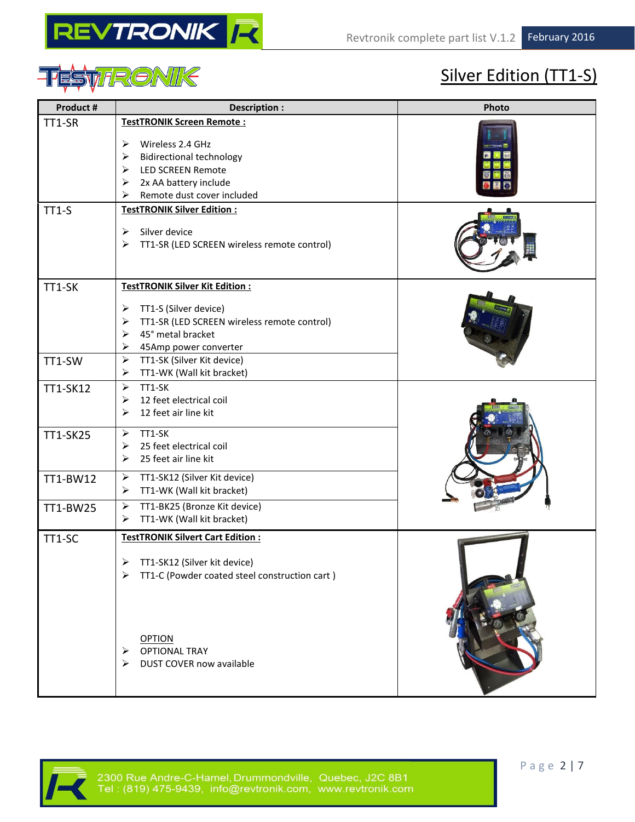



## Silver Edition (TT1-S)

| Product #        | Description :                                                                                                                                                                                                                                                     | Photo |
|------------------|-------------------------------------------------------------------------------------------------------------------------------------------------------------------------------------------------------------------------------------------------------------------|-------|
| TT1-SR           | <b>TestTRONIK Screen Remote:</b><br>Wireless 2.4 GHz<br>➤<br>$\blacktriangleright$<br><b>Bidirectional technology</b><br>$\blacktriangleright$<br><b>LED SCREEN Remote</b><br>2x AA battery include<br>➤<br>Remote dust cover included<br>⋗                       |       |
| $TT1-S$          | <b>TestTRONIK Silver Edition:</b><br>Silver device<br>➤<br>➤<br>TT1-SR (LED SCREEN wireless remote control)                                                                                                                                                       |       |
| TT1-SK<br>TT1-SW | TestTRONIK Silver Kit Edition:<br>TT1-S (Silver device)<br>➤<br>TT1-SR (LED SCREEN wireless remote control)<br>➤<br>45° metal bracket<br>➤<br>➤<br>45Amp power converter<br>$\blacktriangleright$<br>TT1-SK (Silver Kit device)<br>TT1-WK (Wall kit bracket)<br>➤ |       |
| TT1-SK12         | $\blacktriangleright$<br>TT1-SK<br>12 feet electrical coil<br>➤<br>12 feet air line kit<br>➤                                                                                                                                                                      |       |
| TT1-SK25         | TT1-SK<br>➤<br>25 feet electrical coil<br>➤<br>25 feet air line kit<br>≻                                                                                                                                                                                          |       |
| TT1-BW12         | $\blacktriangleright$<br>TT1-SK12 (Silver Kit device)<br>TT1-WK (Wall kit bracket)<br>➤                                                                                                                                                                           |       |
| TT1-BW25         | $\blacktriangleright$<br>TT1-BK25 (Bronze Kit device)<br>TT1-WK (Wall kit bracket)<br>➤                                                                                                                                                                           |       |
| TT1-SC           | <b>TestTRONIK Silvert Cart Edition:</b><br>TT1-SK12 (Silver kit device)<br>TT1-C (Powder coated steel construction cart)<br>⋗                                                                                                                                     |       |
|                  | <b>OPTION</b><br><b>OPTIONAL TRAY</b><br>⋗<br>DUST COVER now available<br>⋗                                                                                                                                                                                       |       |

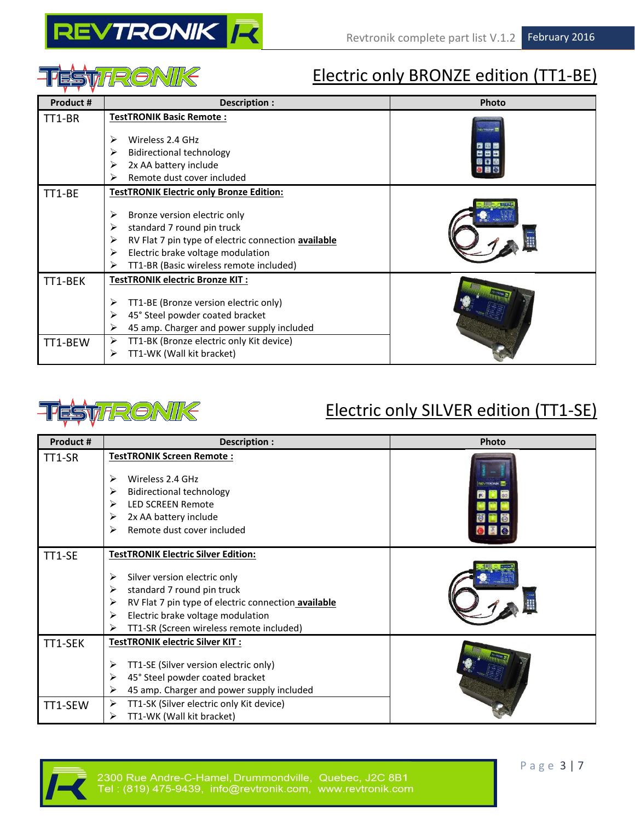



### Electric only BRONZE edition (TT1-BE)

| Product # | Description :                                            | Photo |
|-----------|----------------------------------------------------------|-------|
| TT1-BR    | <b>TestTRONIK Basic Remote:</b>                          |       |
|           | Wireless 2.4 GHz<br>⋗                                    | 問用屋   |
|           | <b>Bidirectional technology</b><br>⋗                     | 연중단   |
|           | 2x AA battery include<br>≻                               |       |
|           | Remote dust cover included<br>⋗                          |       |
| TT1-BE    | <b>TestTRONIK Electric only Bronze Edition:</b>          |       |
|           | ➤<br>Bronze version electric only                        |       |
|           | standard 7 round pin truck<br>⋗                          |       |
|           | ⋗<br>RV Flat 7 pin type of electric connection available |       |
|           | Electric brake voltage modulation<br>⋗                   |       |
|           | TT1-BR (Basic wireless remote included)<br>⋗             |       |
| TT1-BEK   | TestTRONIK electric Bronze KIT:                          |       |
|           | TT1-BE (Bronze version electric only)<br>⋗               |       |
|           | ➤<br>45° Steel powder coated bracket                     |       |
|           | 45 amp. Charger and power supply included<br>⋗           |       |
| TT1-BEW   | ➤<br>TT1-BK (Bronze electric only Kit device)            |       |
|           | TT1-WK (Wall kit bracket)<br>≻                           |       |



### Electric only SILVER edition (TT1-SE)

| Product # | Description :                                                    | Photo |
|-----------|------------------------------------------------------------------|-------|
| TT1-SR    | TestTRONIK Screen Remote:                                        |       |
|           | Wireless 2.4 GHz<br>⋗                                            |       |
|           | ➤                                                                |       |
|           | <b>Bidirectional technology</b><br><b>LED SCREEN Remote</b><br>➤ |       |
|           |                                                                  |       |
|           | 2x AA battery include<br>➤                                       |       |
|           | Remote dust cover included<br>⋗                                  |       |
| TT1-SE    | <b>TestTRONIK Electric Silver Edition:</b>                       |       |
|           |                                                                  |       |
|           | ➤<br>Silver version electric only                                |       |
|           | standard 7 round pin truck<br>➤                                  |       |
|           | RV Flat 7 pin type of electric connection available<br>➤         |       |
|           | Electric brake voltage modulation<br>➤                           |       |
|           | TT1-SR (Screen wireless remote included)<br>⋗                    |       |
| TT1-SEK   | TestTRONIK electric Silver KIT:                                  |       |
|           | TT1-SE (Silver version electric only)<br>➤                       |       |
|           | 45° Steel powder coated bracket<br>➤                             |       |
|           | 45 amp. Charger and power supply included<br>⋗                   |       |
| TT1-SEW   | TT1-SK (Silver electric only Kit device)<br>➤                    |       |
|           | TT1-WK (Wall kit bracket)<br>⋗                                   |       |

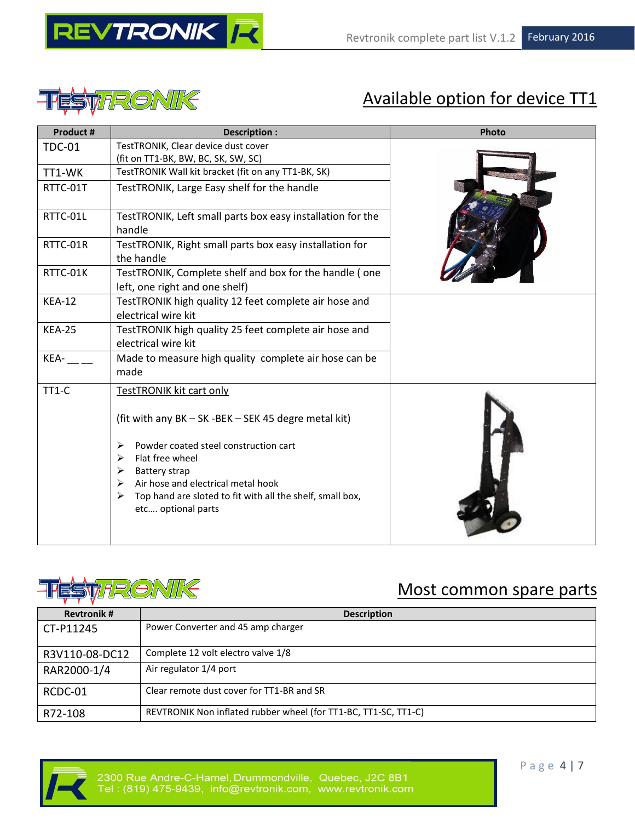





## Available option for device TT1

| Product #     | Description :                                                                            | Photo |
|---------------|------------------------------------------------------------------------------------------|-------|
| <b>TDC-01</b> | TestTRONIK, Clear device dust cover                                                      |       |
|               | (fit on TT1-BK, BW, BC, SK, SW, SC)                                                      |       |
| TT1-WK        | TestTRONIK Wall kit bracket (fit on any TT1-BK, SK)                                      |       |
| RTTC-01T      | TestTRONIK, Large Easy shelf for the handle                                              |       |
| RTTC-01L      | TestTRONIK, Left small parts box easy installation for the<br>handle                     |       |
| RTTC-01R      | TestTRONIK, Right small parts box easy installation for<br>the handle                    |       |
| RTTC-01K      | TestTRONIK, Complete shelf and box for the handle (one<br>left, one right and one shelf) |       |
| <b>KEA-12</b> | TestTRONIK high quality 12 feet complete air hose and<br>electrical wire kit             |       |
| <b>KEA-25</b> | TestTRONIK high quality 25 feet complete air hose and                                    |       |
|               | electrical wire kit                                                                      |       |
| KEA-          | Made to measure high quality complete air hose can be<br>made                            |       |
| $TT1-C$       | <b>TestTRONIK kit cart only</b>                                                          |       |
|               | (fit with any BK - SK - BEK - SEK 45 degre metal kit)                                    |       |
|               | Powder coated steel construction cart<br>➤                                               |       |
|               | Flat free wheel<br>⋗                                                                     |       |
|               | <b>Battery strap</b><br>➤<br>Air hose and electrical metal hook<br>➤                     |       |
|               | Top hand are sloted to fit with all the shelf, small box,<br>➤                           |       |
|               | etc optional parts                                                                       |       |
|               |                                                                                          |       |



### Most common spare parts

| <b>Revtronik#</b> | <b>Description</b>                                              |
|-------------------|-----------------------------------------------------------------|
| CT-P11245         | Power Converter and 45 amp charger                              |
| R3V110-08-DC12    | Complete 12 volt electro valve 1/8                              |
| RAR2000-1/4       | Air regulator 1/4 port                                          |
| RCDC-01           | Clear remote dust cover for TT1-BR and SR                       |
| R72-108           | REVTRONIK Non inflated rubber wheel (for TT1-BC, TT1-SC, TT1-C) |

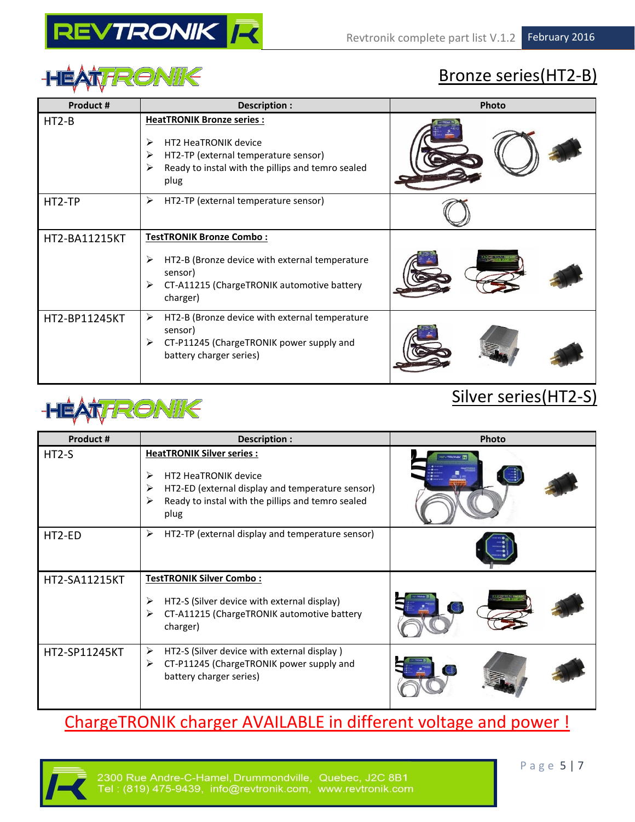

# HÉATTRONIK

## Bronze series(HT2-B)

| Product #     | Description :                                                                                                                                                           | Photo |
|---------------|-------------------------------------------------------------------------------------------------------------------------------------------------------------------------|-------|
| $HT2-B$       | <b>HeatTRONIK Bronze series:</b><br>HT2 HeaTRONIK device<br>➤<br>HT2-TP (external temperature sensor)<br>➤<br>Ready to instal with the pillips and temro sealed<br>plug |       |
| HT2-TP        | HT2-TP (external temperature sensor)<br>➤                                                                                                                               |       |
| HT2-BA11215KT | <b>TestTRONIK Bronze Combo:</b><br>HT2-B (Bronze device with external temperature<br>➤<br>sensor)<br>CT-A11215 (ChargeTRONIK automotive battery<br>➤<br>charger)        |       |
| HT2-BP11245KT | HT2-B (Bronze device with external temperature<br>➤<br>sensor)<br>CT-P11245 (ChargeTRONIK power supply and<br>➤<br>battery charger series)                              |       |

## **HÉATTRONIK**

### Silver series(HT2-S)

| Product #            | Description :                                                                                                                                                                            | Photo  |
|----------------------|------------------------------------------------------------------------------------------------------------------------------------------------------------------------------------------|--------|
| $HT2-S$              | <b>HeatTRONIK Silver series:</b><br>HT2 HeaTRONIK device<br>⋗<br>HT2-ED (external display and temperature sensor)<br>⋗<br>Ready to instal with the pillips and temro sealed<br>⋗<br>plug |        |
| HT2-ED               | ➤<br>HT2-TP (external display and temperature sensor)                                                                                                                                    |        |
| HT2-SA11215KT        | <b>TestTRONIK Silver Combo:</b>                                                                                                                                                          |        |
|                      | HT2-S (Silver device with external display)<br>⋗<br>CT-A11215 (ChargeTRONIK automotive battery<br>➤<br>charger)                                                                          | $\Box$ |
| <b>HT2-SP11245KT</b> | HT2-S (Silver device with external display)<br>➤<br>CT-P11245 (ChargeTRONIK power supply and<br>⋗<br>battery charger series)                                                             |        |

### ChargeTRONIK charger AVAILABLE in different voltage and power !

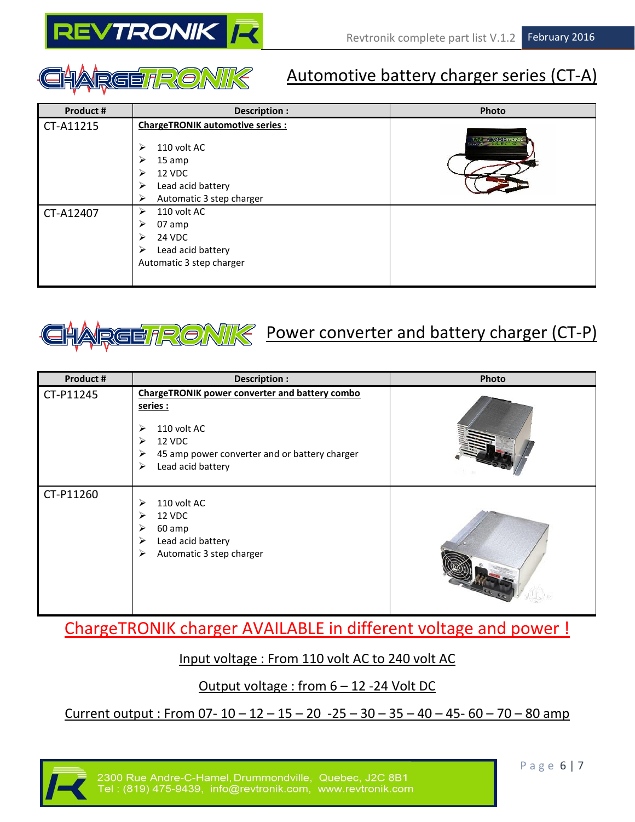



### Automotive battery charger series (CT-A)

| Product # | Description :                                                                                                                                       | Photo                |
|-----------|-----------------------------------------------------------------------------------------------------------------------------------------------------|----------------------|
| CT-A11215 | <b>ChargeTRONIK automotive series:</b><br>110 volt AC<br>⋗<br>15 amp<br>⋗<br>12 VDC<br>⋗<br>Lead acid battery<br>⋗<br>Automatic 3 step charger<br>➤ | <b>24 C 2320 Feb</b> |
| CT-A12407 | 110 volt AC<br>⋗<br>07 amp<br>⋗<br>24 VDC<br>⋗<br>Lead acid battery<br>⋗<br>Automatic 3 step charger                                                |                      |



### Power converter and battery charger (CT-P)

| Product#  | Description :                                                                                                                                                                        | Photo |
|-----------|--------------------------------------------------------------------------------------------------------------------------------------------------------------------------------------|-------|
| CT-P11245 | <b>ChargeTRONIK power converter and battery combo</b><br>series :<br>110 volt AC<br>➤<br>12 VDC<br>➤<br>45 amp power converter and or battery charger<br>➤<br>Lead acid battery<br>➤ |       |
| CT-P11260 | 110 volt AC<br>⋗<br>12 VDC<br>⋗<br>60 amp<br>➤<br>Lead acid battery<br>≻<br>Automatic 3 step charger<br>➤                                                                            |       |

ChargeTRONIK charger AVAILABLE in different voltage and power !

#### Input voltage : From 110 volt AC to 240 volt AC

#### Output voltage : from 6 – 12 -24 Volt DC

Current output : From 07-  $10 - 12 - 15 - 20 - 25 - 30 - 35 - 40 - 45 - 60 - 70 - 80$  amp